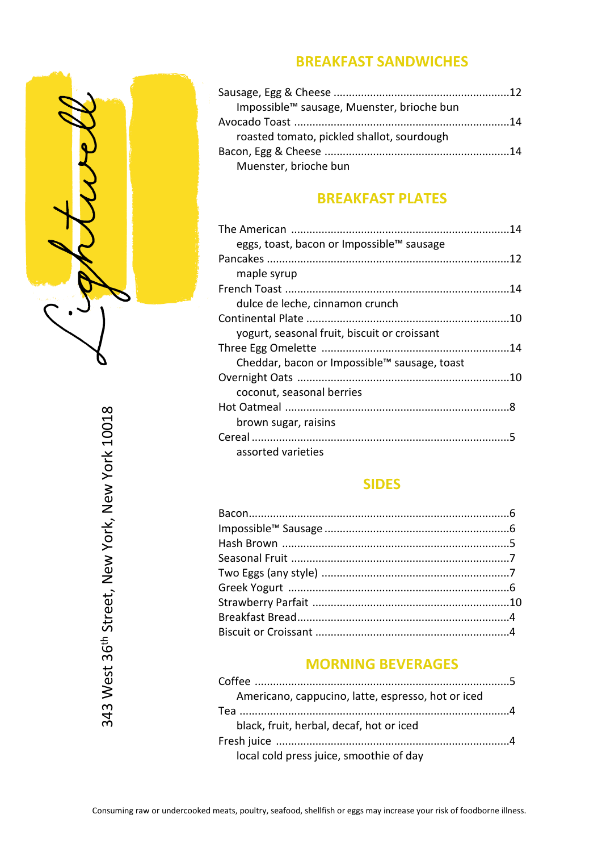

## **BREAKFAST SANDWICHES**

| Impossible™ sausage, Muenster, brioche bun |  |
|--------------------------------------------|--|
|                                            |  |
| roasted tomato, pickled shallot, sourdough |  |
|                                            |  |
| Muenster, brioche bun                      |  |

# **BREAKFAST PLATES**

| eggs, toast, bacon or Impossible™ sausage    |  |
|----------------------------------------------|--|
|                                              |  |
| maple syrup                                  |  |
|                                              |  |
| dulce de leche, cinnamon crunch              |  |
|                                              |  |
| yogurt, seasonal fruit, biscuit or croissant |  |
|                                              |  |
| Cheddar, bacon or Impossible™ sausage, toast |  |
|                                              |  |
| coconut, seasonal berries                    |  |
|                                              |  |
| brown sugar, raisins                         |  |
|                                              |  |
| assorted varieties                           |  |

# **SIDES**

## **MORNING BEVERAGES**

| Americano, cappucino, latte, espresso, hot or iced |  |
|----------------------------------------------------|--|
|                                                    |  |
| black, fruit, herbal, decaf, hot or iced           |  |
|                                                    |  |
| local cold press juice, smoothie of day            |  |